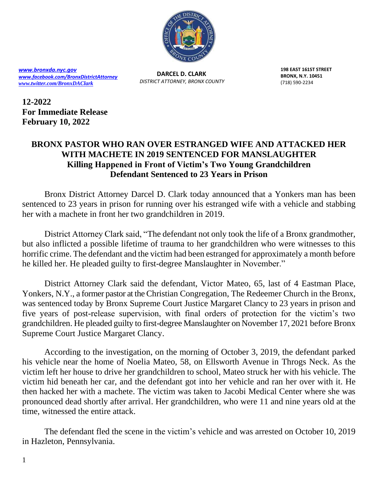

*[www.bronxda.nyc.gov](http://www.bronxda.nyc.gov/) [www.facebook.com/BronxDistrictAttorney](file://///bronxda.nycnet/shares/UNITS/PUBLIC-INFORMATION/Public-Information/2016/www.facebook.com/BronxDistrictAttorney) [www.twitter.com/BronxDAClark](file://///bronxda.nycnet/shares/UNITS/PUBLIC-INFORMATION/Public-Information/2016/www.twitter.com/BronxDAClark)*

**DARCEL D. CLARK**  *DISTRICT ATTORNEY, BRONX COUNTY* **198 EAST 161ST STREET BRONX, N.Y. 10451** (718) 590-2234

**12-2022 For Immediate Release February 10, 2022**

## **BRONX PASTOR WHO RAN OVER ESTRANGED WIFE AND ATTACKED HER WITH MACHETE IN 2019 SENTENCED FOR MANSLAUGHTER Killing Happened in Front of Victim's Two Young Grandchildren Defendant Sentenced to 23 Years in Prison**

Bronx District Attorney Darcel D. Clark today announced that a Yonkers man has been sentenced to 23 years in prison for running over his estranged wife with a vehicle and stabbing her with a machete in front her two grandchildren in 2019.

District Attorney Clark said, "The defendant not only took the life of a Bronx grandmother, but also inflicted a possible lifetime of trauma to her grandchildren who were witnesses to this horrific crime. The defendant and the victim had been estranged for approximately a month before he killed her. He pleaded guilty to first-degree Manslaughter in November."

District Attorney Clark said the defendant, Victor Mateo, 65, last of 4 Eastman Place, Yonkers, N.Y., a former pastor at the Christian Congregation, The Redeemer Church in the Bronx, was sentenced today by Bronx Supreme Court Justice Margaret Clancy to 23 years in prison and five years of post-release supervision, with final orders of protection for the victim's two grandchildren. He pleaded guilty to first-degree Manslaughter on November 17, 2021 before Bronx Supreme Court Justice Margaret Clancy.

According to the investigation, on the morning of October 3, 2019, the defendant parked his vehicle near the home of Noelia Mateo, 58, on Ellsworth Avenue in Throgs Neck. As the victim left her house to drive her grandchildren to school, Mateo struck her with his vehicle. The victim hid beneath her car, and the defendant got into her vehicle and ran her over with it. He then hacked her with a machete. The victim was taken to Jacobi Medical Center where she was pronounced dead shortly after arrival. Her grandchildren, who were 11 and nine years old at the time, witnessed the entire attack.

The defendant fled the scene in the victim's vehicle and was arrested on October 10, 2019 in Hazleton, Pennsylvania.